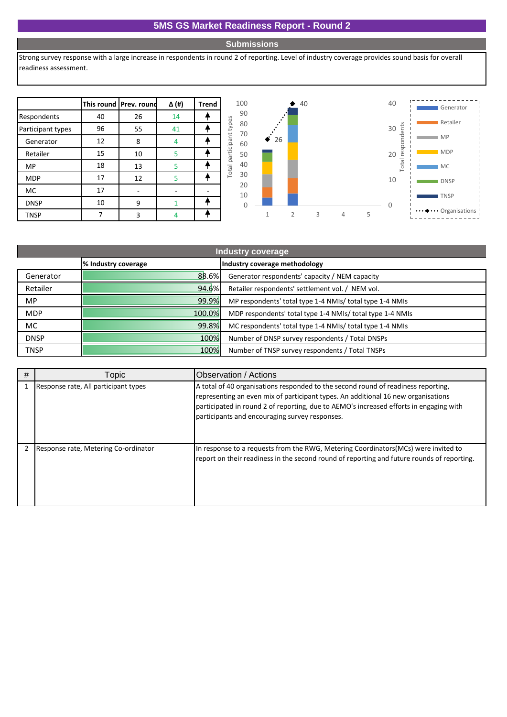## **5MS GS Market Readiness Report - Round 2**

## **Submissions**

Strong survey response with a large increase in respondents in round 2 of reporting. Level of industry coverage provides sound basis for overall readiness assessment.

|                   |    | This round Prev. round | Δ (#) | <b>Trend</b> |                         |
|-------------------|----|------------------------|-------|--------------|-------------------------|
| Respondents       | 40 | 26                     | 14    |              |                         |
| Participant types | 96 | 55                     | 41    |              |                         |
| Generator         | 12 | 8                      |       |              |                         |
| Retailer          | 15 | 10                     | 5     |              | Total participant tupor |
| <b>MP</b>         | 18 | 13                     | 5     |              |                         |
| <b>MDP</b>        | 17 | 12                     | 5     |              |                         |
| <b>MC</b>         | 17 |                        |       |              |                         |
| <b>DNSP</b>       | 10 | ٩                      |       |              |                         |
| TNSP              |    | 3                      |       |              |                         |



| Industry coverage |                     |                                                           |  |  |
|-------------------|---------------------|-----------------------------------------------------------|--|--|
|                   | % Industry coverage | Industry coverage methodology                             |  |  |
| Generator         | 88.6%               | Generator respondents' capacity / NEM capacity            |  |  |
| Retailer          | 94.6%               | Retailer respondents' settlement vol. / NEM vol.          |  |  |
| <b>MP</b>         | 99.9%               | MP respondents' total type 1-4 NMIs/ total type 1-4 NMIs  |  |  |
| <b>MDP</b>        | 100.0%              | MDP respondents' total type 1-4 NMIs/ total type 1-4 NMIs |  |  |
| MC.               | 99.8%               | MC respondents' total type 1-4 NMIs/ total type 1-4 NMIs  |  |  |
| <b>DNSP</b>       | 100%                | Number of DNSP survey respondents / Total DNSPs           |  |  |
| <b>TNSP</b>       | 100%                | Number of TNSP survey respondents / Total TNSPs           |  |  |

| # | Topic                                | <b>IObservation / Actions</b>                                                                                                                                                                                                                                                                                      |
|---|--------------------------------------|--------------------------------------------------------------------------------------------------------------------------------------------------------------------------------------------------------------------------------------------------------------------------------------------------------------------|
|   | Response rate, All participant types | A total of 40 organisations responded to the second round of readiness reporting,<br>representing an even mix of participant types. An additional 16 new organisations<br>participated in round 2 of reporting, due to AEMO's increased efforts in engaging with<br>participants and encouraging survey responses. |
|   | Response rate, Metering Co-ordinator | In response to a requests from the RWG, Metering Coordinators (MCs) were invited to<br>report on their readiness in the second round of reporting and future rounds of reporting.                                                                                                                                  |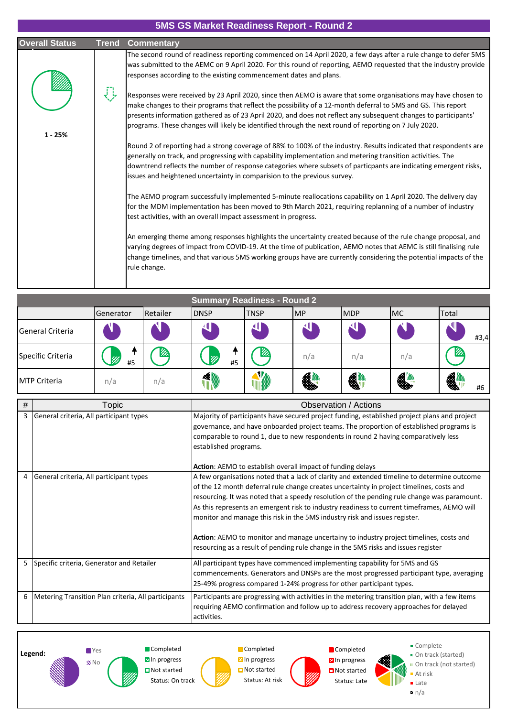## **5MS GS Market Readiness Report - Round 2**

| <b>Overall Status</b> | <b>Trend Commentary</b>                                                                                                                                                                                                                                                                                                                                                                                                                                    |
|-----------------------|------------------------------------------------------------------------------------------------------------------------------------------------------------------------------------------------------------------------------------------------------------------------------------------------------------------------------------------------------------------------------------------------------------------------------------------------------------|
|                       | The second round of readiness reporting commenced on 14 April 2020, a few days after a rule change to defer 5MS<br>was submitted to the AEMC on 9 April 2020. For this round of reporting, AEMO requested that the industry provide<br>responses according to the existing commencement dates and plans.                                                                                                                                                   |
| $1 - 25%$             | Responses were received by 23 April 2020, since then AEMO is aware that some organisations may have chosen to<br>make changes to their programs that reflect the possibility of a 12-month deferral to 5MS and GS. This report<br>presents information gathered as of 23 April 2020, and does not reflect any subsequent changes to participants'<br>programs. These changes will likely be identified through the next round of reporting on 7 July 2020. |
|                       | Round 2 of reporting had a strong coverage of 88% to 100% of the industry. Results indicated that respondents are<br>generally on track, and progressing with capability implementation and metering transition activities. The<br>downtrend reflects the number of response categories where subsets of particpants are indicating emergent risks,<br>issues and heightened uncertainty in comparision to the previous survey.                            |
|                       | The AEMO program successfully implemented 5-minute reallocations capability on 1 April 2020. The delivery day<br>for the MDM implementation has been moved to 9th March 2021, requiring replanning of a number of industry<br>test activities, with an overall impact assessment in progress.                                                                                                                                                              |
|                       | An emerging theme among responses highlights the uncertainty created because of the rule change proposal, and<br>varying degrees of impact from COVID-19. At the time of publication, AEMO notes that AEMC is still finalising rule<br>change timelines, and that various 5MS working groups have are currently considering the potential impacts of the<br>rule change.                                                                                   |

|                           | <b>Summary Readiness - Round 2</b> |          |             |             |     |            |           |           |
|---------------------------|------------------------------------|----------|-------------|-------------|-----|------------|-----------|-----------|
|                           | Generator                          | Retailer | <b>DNSP</b> | <b>TNSP</b> | IMP | <b>MDP</b> | <b>MC</b> | Total     |
| <b>I</b> General Criteria |                                    |          | 뻬           |             | 쎈   | 쌔          |           | 새<br>#3,4 |
| Specific Criteria         | 99<br>#5                           | ИA       | m<br>#5     | m           | n/a | n/a        | n/a       | v.        |
| <b>IMTP Criteria</b>      | n/a                                | n/a      | 1           | V)          | \$  | 4          | <b>41</b> | 4<br>#6   |

| # | Topic                                               | Observation / Actions                                                                                                                                                                                                                                                                                                                                                                                                                                                                                                                                                                                                                              |
|---|-----------------------------------------------------|----------------------------------------------------------------------------------------------------------------------------------------------------------------------------------------------------------------------------------------------------------------------------------------------------------------------------------------------------------------------------------------------------------------------------------------------------------------------------------------------------------------------------------------------------------------------------------------------------------------------------------------------------|
| 3 | General criteria, All participant types             | Majority of participants have secured project funding, established project plans and project<br>governance, and have onboarded project teams. The proportion of established programs is<br>comparable to round 1, due to new respondents in round 2 having comparatively less<br>established programs.                                                                                                                                                                                                                                                                                                                                             |
|   |                                                     | <b>Action:</b> AEMO to establish overall impact of funding delays                                                                                                                                                                                                                                                                                                                                                                                                                                                                                                                                                                                  |
| 4 | General criteria, All participant types             | A few organisations noted that a lack of clarity and extended timeline to determine outcome<br>of the 12 month deferral rule change creates uncertainty in project timelines, costs and<br>resourcing. It was noted that a speedy resolution of the pending rule change was paramount.<br>As this represents an emergent risk to industry readiness to current timeframes, AEMO will<br>monitor and manage this risk in the 5MS industry risk and issues register.<br>Action: AEMO to monitor and manage uncertainy to industry project timelines, costs and<br>resourcing as a result of pending rule change in the 5MS risks and issues register |
| 5 | Specific criteria, Generator and Retailer           | All participant types have commenced implementing capability for 5MS and GS<br>commencements. Generators and DNSPs are the most progressed participant type, averaging<br>25-49% progress compared 1-24% progress for other participant types.                                                                                                                                                                                                                                                                                                                                                                                                     |
| 6 | Metering Transition Plan criteria, All participants | Participants are progressing with activities in the metering transition plan, with a few items<br>requiring AEMO confirmation and follow up to address recovery approaches for delayed<br>activities.                                                                                                                                                                                                                                                                                                                                                                                                                                              |



**Completed Z**In progress

**T**Yes No



**Completed Z** In progress ■ Not started Status: At risk

**Completed Z** In progress ■Not started Status: Late ■ Complete

- **B** On track (started) On track (not started)
- At risk

**Late** 

 $n/a$